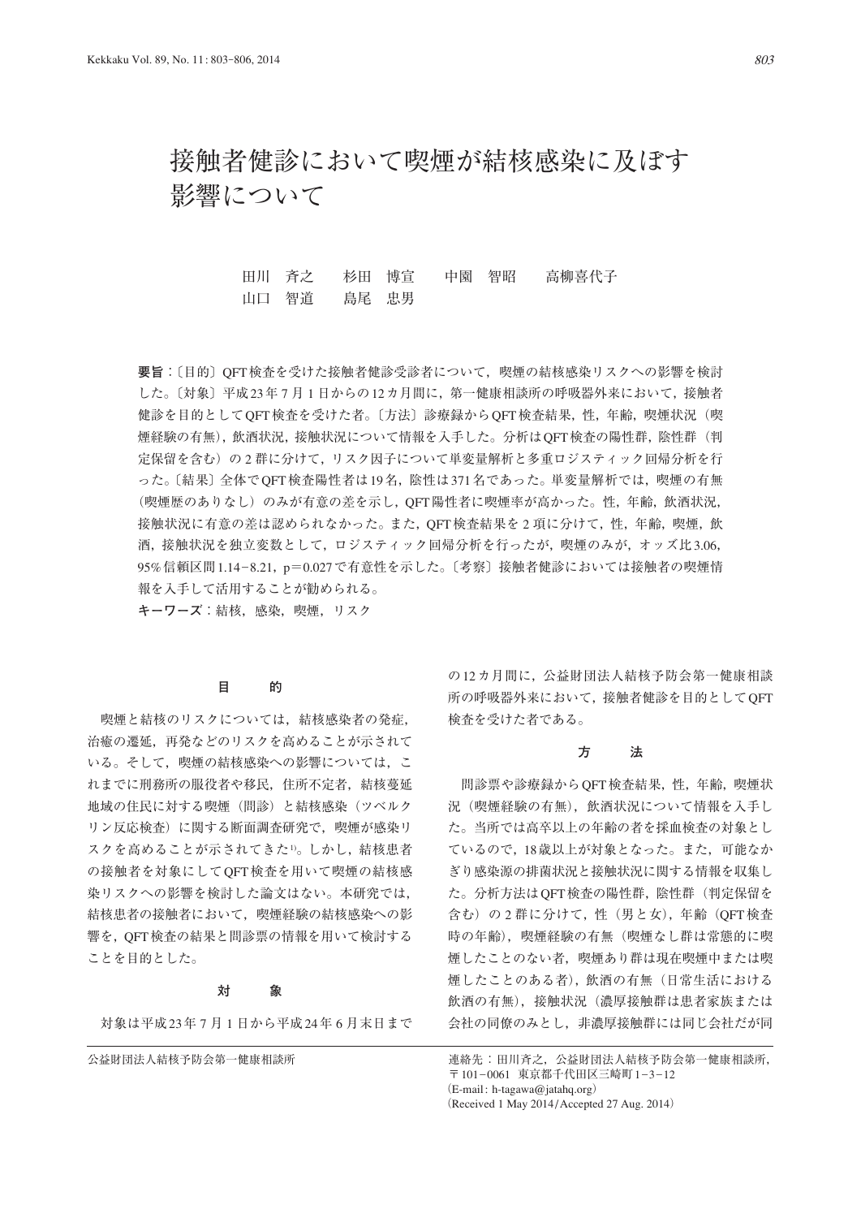# 接触者健診において喫煙が結核感染に及ぼす 影響について

田川 斉之 杉田 博宣 中園 智昭 高柳喜代子 山口 智道 島尾 忠男

**要旨**:〔目的〕QFT検査を受けた接触者健診受診者について,喫煙の結核感染リスクへの影響を検討 した。〔対象〕平成23年 7 月 1 日からの12カ月間に,第一健康相談所の呼吸器外来において,接触者 健診を目的としてQFT検査を受けた者。〔方法〕診療録からQFT検査結果,性,年齢,喫煙状況(喫 煙経験の有無),飲酒状況,接触状況について情報を入手した。分析はQFT検査の陽性群,陰性群(判 定保留を含む)の 2 群に分けて,リスク因子について単変量解析と多重ロジスティック回帰分析を行 った。〔結果〕全体でQFT検査陽性者は19名,陰性は371名であった。単変量解析では,喫煙の有無 (喫煙歴のありなし)のみが有意の差を示し,QFT陽性者に喫煙率が高かった。性,年齢,飲酒状況, 接触状況に有意の差は認められなかった。また, QFT検査結果を 2 項に分けて, 性, 年齢, 喫煙, 飲 酒,接触状況を独立変数として,ロジスティック回帰分析を行ったが,喫煙のみが,オッズ比3.06, 95%信頼区間1.14\_8.21,p=0.027で有意性を示した。〔考察〕接触者健診においては接触者の喫煙情 報を入手して活用することが勧められる。

**キーワーズ**:結核,感染,喫煙,リスク

## **目 的**

 喫煙と結核のリスクについては,結核感染者の発症, 治癒の遷延,再発などのリスクを高めることが示されて いる。そして、喫煙の結核感染への影響については、こ れまでに刑務所の服役者や移民,住所不定者,結核蔓延 地域の住民に対する喫煙(問診)と結核感染(ツベルク リン反応検査)に関する断面調査研究で,喫煙が感染リ スクを高めることが示されてきた1)。しかし、結核患者 の接触者を対象にしてQFT検査を用いて喫煙の結核感 染リスクへの影響を検討した論文はない。本研究では, 結核患者の接触者において,喫煙経験の結核感染への影 響を,QFT検査の結果と問診票の情報を用いて検討する ことを目的とした。

#### **対 象**

対象は平成23年 7 月 1 日から平成24年 6 月末日まで

の12カ月間に、公益財団法人結核予防会第一健康相談 所の呼吸器外来において,接触者健診を目的としてQFT 検査を受けた者である。

### **方 法**

 問診票や診療録からQFT検査結果,性,年齢,喫煙状 況(喫煙経験の有無),飲酒状況について情報を入手し た。当所では高卒以上の年齢の者を採血検査の対象とし ているので,18歳以上が対象となった。また,可能なか ぎり感染源の排菌状況と接触状況に関する情報を収集し た。分析方法はQFT検査の陽性群,陰性群(判定保留を 含む)の 2 群に分けて,性(男と女),年齢(QFT検査 時の年齢),喫煙経験の有無(喫煙なし群は常態的に喫 煙したことのない者,喫煙あり群は現在喫煙中または喫 煙したことのある者),飲酒の有無(日常生活における 飲酒の有無), 接触状況(濃厚接触群は患者家族または 会社の同僚のみとし,非濃厚接触群には同じ会社だが同

公益財団法人結核予防会第一健康相談所 まんの さんのう きゅう きんたい 日川斉之,公益財団法人結核予防会第一健康相談所, 〒 101-0061 東京都千代田区三崎町 1-3-12  $(E-mail: h-tagawa@iataha.org)$ (Received 1 May 2014 / Accepted 27 Aug. 2014)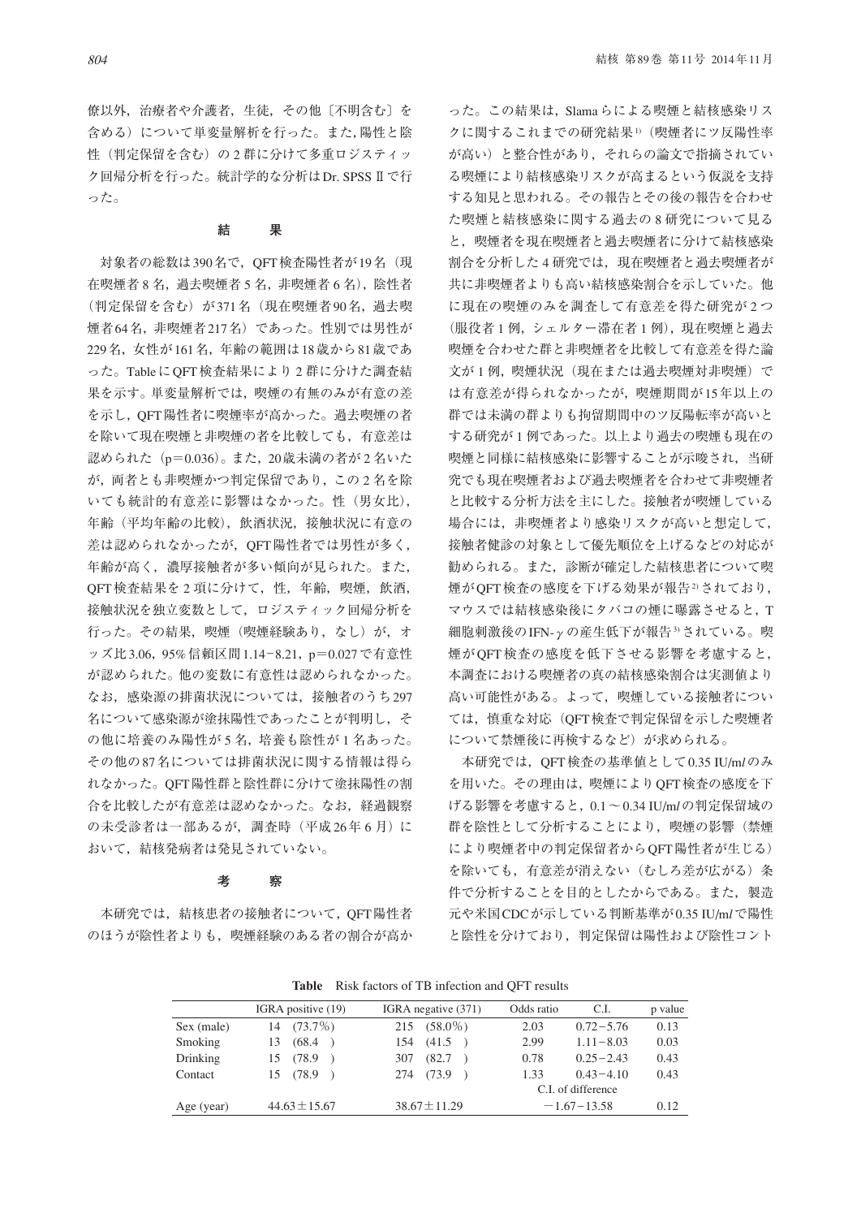僚以外,治療者や介護者,生徒,その他〔不明含む〕を 含める)について単変量解析を行った。また,陽性と陰 性(判定保留を含む)の2群に分けて多重ロジスティッ ク回帰分析を行った。統計学的な分析はDr. SPSSⅡで行 った。

#### **結 果**

対象者の総数は390名で, OFT検査陽性者が19名 (現 在喫煙者 8 名, 過去喫煙者 5 名, 非喫煙者 6 名), 陰性者 (判定保留を含む)が371名(現在喫煙者90名,過去喫 煙者64名,非喫煙者217名)であった。性別では男性が 229名,女性が161名,年齢の範囲は18歳から81歳であ った。TableにQFT検査結果により 2 群に分けた調査結 果を示す。単変量解析では,喫煙の有無のみが有意の差 を示し,QFT陽性者に喫煙率が高かった。過去喫煙の者 を除いて現在喫煙と非喫煙の者を比較しても,有意差は 認められた(p=0.036)。また, 20歳未満の者が 2 名いた が,両者とも非喫煙かつ判定保留であり,この 2 名を除 いても統計的有意差に影響はなかった。性(男女比), 年齢(平均年齢の比較),飲酒状況,接触状況に有意の 差は認められなかったが,QFT陽性者では男性が多く, 年齢が高く,濃厚接触者が多い傾向が見られた。また, OFT 検査結果を 2 項に分けて, 性, 年齢, 喫煙, 飲酒, 接触状況を独立変数として,ロジスティック回帰分析を 行った。その結果,喫煙(喫煙経験あり,なし)が、オ ッズ比3.06, 95%信頼区間1.14-8.21, p=0.027で有意性 が認められた。他の変数に有意性は認められなかった。 なお、感染源の排菌状況については、接触者のうち297 名について感染源が塗抹陽性であったことが判明し,そ の他に培養のみ陽性が5名,培養も陰性が1名あった。 その他の87名については排菌状況に関する情報は得ら れなかった。QFT陽性群と陰性群に分けて塗抹陽性の割 合を比較したが有意差は認めなかった。なお,経過観察 の未受診者は一部あるが、調査時(平成26年6月)に おいて,結核発病者は発見されていない。

### **考 察**

 本研究では,結核患者の接触者について,QFT陽性者 のほうが陰性者よりも,喫煙経験のある者の割合が高か った。この結果は,Slamaらによる喫煙と結核感染リス クに関するこれまでの研究結果1)(喫煙者にツ反陽性率 が高い)と整合性があり,それらの論文で指摘されてい る喫煙により結核感染リスクが高まるという仮説を支持 する知見と思われる。その報告とその後の報告を合わせ た喫煙と結核感染に関する過去の 8 研究について見る と,喫煙者を現在喫煙者と過去喫煙者に分けて結核感染 割合を分析した 4 研究では,現在喫煙者と過去喫煙者が 共に非喫煙者よりも高い結核感染割合を示していた。他 に現在の喫煙のみを調査して有意差を得た研究が 2 つ (服役者 1 例,シェルター滞在者 1 例),現在喫煙と過去 喫煙を合わせた群と非喫煙者を比較して有意差を得た論 文が1例,喫煙状況(現在または過去喫煙対非喫煙)で は有意差が得られなかったが,喫煙期間が15年以上の 群では未満の群よりも拘留期間中のツ反陽転率が高いと する研究が 1 例であった。以上より過去の喫煙も現在の 喫煙と同様に結核感染に影響することが示唆され,当研 究でも現在喫煙者および過去喫煙者を合わせて非喫煙者 と比較する分析方法を主にした。接触者が喫煙している 場合には,非喫煙者より感染リスクが高いと想定して, 接触者健診の対象として優先順位を上げるなどの対応が 勧められる。また,診断が確定した結核患者について喫 煙がOFT検査の感度を下げる効果が報告2されており, マウスでは結核感染後にタバコの煙に曝露させると,T 細胞刺激後のIFN-γの産生低下が報告3)されている。喫 煙がQFT検査の感度を低下させる影響を考慮すると, 本調査における喫煙者の真の結核感染割合は実測値より 高い可能性がある。よって,喫煙している接触者につい ては,慎重な対応(QFT検査で判定保留を示した喫煙者 について禁煙後に再検するなど)が求められる。

 本研究では,QFT検査の基準値として0.35 IU/m*l*のみ を用いた。その理由は,喫煙によりQFT検査の感度を下 げる影響を考慮すると,0.1~0.34 IU/m*l*の判定保留域の 群を陰性として分析することにより,喫煙の影響(禁煙 により喫煙者中の判定保留者からQFT陽性者が生じる) を除いても,有意差が消えない(むしろ差が広がる)条 件で分析することを目的としたからである。また,製造 元や米国CDCが示している判断基準が0.35 IU/m*l*で陽性 と陰性を分けており,判定保留は陽性および陰性コント

| <b>THEIR INSTRUCTED</b> IS THE THROUGH THAT THE TUBLIS |                    |                                      |                    |               |         |
|--------------------------------------------------------|--------------------|--------------------------------------|--------------------|---------------|---------|
|                                                        | IGRA positive (19) | IGRA negative (371)                  | Odds ratio         | C.I.          | p value |
| Sex (male)                                             | $14(73.7\%)$       | $215(58.0\%)$                        | 2.03               | $0.72 - 5.76$ | 0.13    |
| <b>Smoking</b>                                         | (68.4)<br>13       | (41.5)<br>154                        | 2.99               | $1.11 - 8.03$ | 0.03    |
| Drinking                                               | 15 (78.9)          | (82.7)<br>307                        | 0.78               | $0.25 - 2.43$ | 0.43    |
| Contact                                                | 15 (78.9)          | 274 (73.9)                           | 1.33               | $0.43 - 4.10$ | 0.43    |
|                                                        |                    |                                      | C.I. of difference |               |         |
| Age (year)                                             | $44.63 \pm 15.67$  | $38.67 \pm 11.29$<br>$-1.67 - 13.58$ |                    |               | 0.12    |

**Table** Risk factors of TB infection and QFT results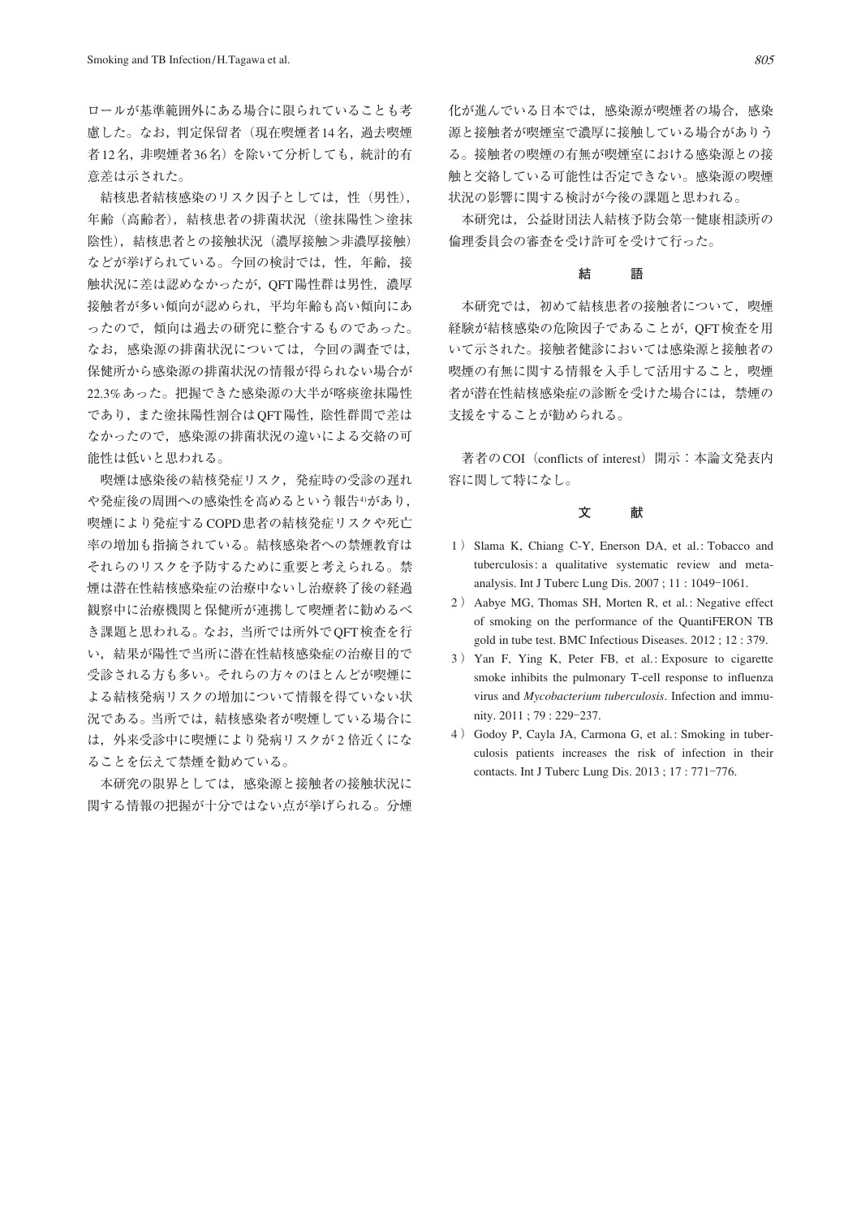ロールが基準範囲外にある場合に限られていることも考 慮した。なお,判定保留者(現在喫煙者14名,過去喫煙 者12名,非喫煙者36名)を除いて分析しても,統計的有 意差は示された。

 結核患者結核感染のリスク因子としては,性(男性), 年齢(高齢者),結核患者の排菌状況(塗抹陽性>塗抹 陰性), 結核患者との接触状況(濃厚接触>非濃厚接触) などが挙げられている。今回の検討では、性,年齢,接 触状況に差は認めなかったが, OFT陽性群は男性, 濃厚 接触者が多い傾向が認められ,平均年齢も高い傾向にあ ったので,傾向は過去の研究に整合するものであった。 なお,感染源の排菌状況については,今回の調査では, 保健所から感染源の排菌状況の情報が得られない場合が 22.3%あった。把握できた感染源の大半が喀痰塗抹陽性 であり,また塗抹陽性割合はQFT陽性,陰性群間で差は なかったので,感染源の排菌状況の違いによる交絡の可 能性は低いと思われる。

 喫煙は感染後の結核発症リスク,発症時の受診の遅れ や発症後の周囲への感染性を高めるという報告4があり, 喫煙により発症するCOPD患者の結核発症リスクや死亡 率の増加も指摘されている。結核感染者への禁煙教育は それらのリスクを予防するために重要と考えられる。禁 煙は潜在性結核感染症の治療中ないし治療終了後の経過 観察中に治療機関と保健所が連携して喫煙者に勧めるべ き課題と思われる。なお,当所では所外でQFT検査を行 い,結果が陽性で当所に潜在性結核感染症の治療目的で 受診される方も多い。それらの方々のほとんどが喫煙に よる結核発病リスクの増加について情報を得ていない状 況である。当所では,結核感染者が喫煙している場合に は,外来受診中に喫煙により発病リスクが 2 倍近くにな ることを伝えて禁煙を勧めている。

 本研究の限界としては,感染源と接触者の接触状況に 関する情報の把握が十分ではない点が挙げられる。分煙 化が進んでいる日本では,感染源が喫煙者の場合,感染 源と接触者が喫煙室で濃厚に接触している場合がありう る。接触者の喫煙の有無が喫煙室における感染源との接 触と交絡している可能性は否定できない。感染源の喫煙 状況の影響に関する検討が今後の課題と思われる。

本研究は、公益財団法人結核予防会第一健康相談所の 倫理委員会の審査を受け許可を受けて行った。

## **結 語**

 本研究では,初めて結核患者の接触者について,喫煙 経験が結核感染の危険因子であることが,QFT検査を用 いて示された。接触者健診においては感染源と接触者の 喫煙の有無に関する情報を入手して活用すること,喫煙 者が潜在性結核感染症の診断を受けた場合には,禁煙の 支援をすることが勧められる。

著者のCOI (conflicts of interest) 開示:本論文発表内 容に関して特になし。

# **文 献**

- 1 ) Slama K, Chiang C-Y, Enerson DA, et al.: Tobacco and tuberculosis: a qualitative systematic review and metaanalysis. Int J Tuberc Lung Dis. 2007; 11: 1049-1061.
- 2 ) Aabye MG, Thomas SH, Morten R, et al.: Negative effect of smoking on the performance of the QuantiFERON TB gold in tube test. BMC Infectious Diseases. 2012 ; 12 : 379.
- 3 ) Yan F, Ying K, Peter FB, et al.: Exposure to cigarette smoke inhibits the pulmonary T-cell response to influenza virus and *Mycobacterium tuberculosis*. Infection and immunity. 2011 ; 79 : 229‒237.
- 4 ) Godoy P, Cayla JA, Carmona G, et al.: Smoking in tuberculosis patients increases the risk of infection in their contacts. Int J Tuberc Lung Dis.  $2013 : 17 : 771-776$ .